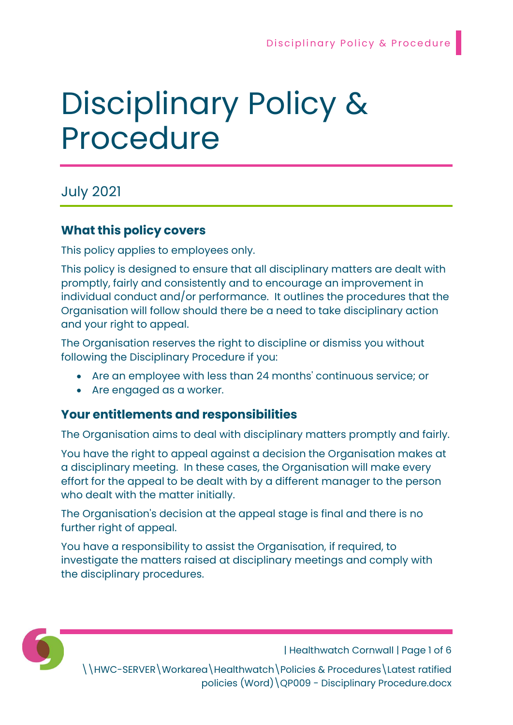# Disciplinary Policy & Procedure

July 2021

# What this policy covers

This policy applies to employees only.

This policy is designed to ensure that all disciplinary matters are dealt with promptly, fairly and consistently and to encourage an improvement in individual conduct and/or performance. It outlines the procedures that the Organisation will follow should there be a need to take disciplinary action and your right to appeal.

The Organisation reserves the right to discipline or dismiss you without following the Disciplinary Procedure if you:

- Are an employee with less than 24 months' continuous service; or
- Are engaged as a worker.

## Your entitlements and responsibilities

The Organisation aims to deal with disciplinary matters promptly and fairly.

You have the right to appeal against a decision the Organisation makes at a disciplinary meeting. In these cases, the Organisation will make every effort for the appeal to be dealt with by a different manager to the person who dealt with the matter initially.

The Organisation's decision at the appeal stage is final and there is no further right of appeal.

You have a responsibility to assist the Organisation, if required, to investigate the matters raised at disciplinary meetings and comply with the disciplinary procedures.



| Healthwatch Cornwall | Page 1 of 6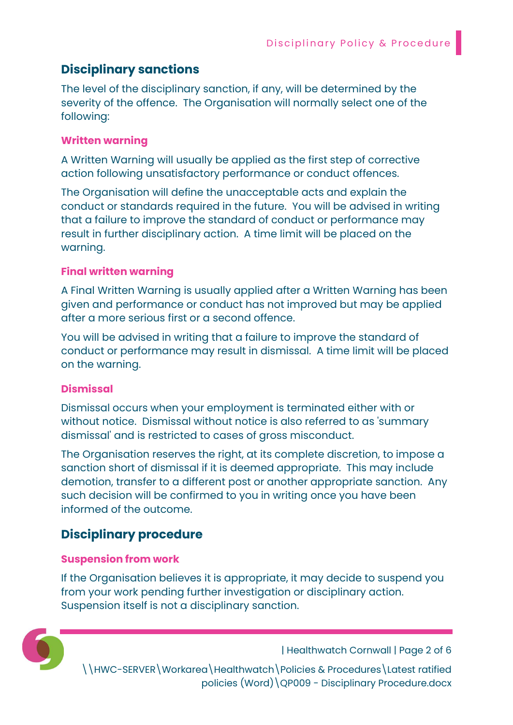# Disciplinary sanctions

The level of the disciplinary sanction, if any, will be determined by the severity of the offence. The Organisation will normally select one of the following:

#### Written warning

A Written Warning will usually be applied as the first step of corrective action following unsatisfactory performance or conduct offences.

The Organisation will define the unacceptable acts and explain the conduct or standards required in the future. You will be advised in writing that a failure to improve the standard of conduct or performance may result in further disciplinary action. A time limit will be placed on the warning.

## Final written warning

A Final Written Warning is usually applied after a Written Warning has been given and performance or conduct has not improved but may be applied after a more serious first or a second offence.

You will be advised in writing that a failure to improve the standard of conduct or performance may result in dismissal. A time limit will be placed on the warning.

## **Dismissal**

Dismissal occurs when your employment is terminated either with or without notice. Dismissal without notice is also referred to as 'summary dismissal' and is restricted to cases of gross misconduct.

The Organisation reserves the right, at its complete discretion, to impose a sanction short of dismissal if it is deemed appropriate. This may include demotion, transfer to a different post or another appropriate sanction. Any such decision will be confirmed to you in writing once you have been informed of the outcome.

# Disciplinary procedure

#### Suspension from work

If the Organisation believes it is appropriate, it may decide to suspend you from your work pending further investigation or disciplinary action. Suspension itself is not a disciplinary sanction.



| Healthwatch Cornwall | Page 2 of 6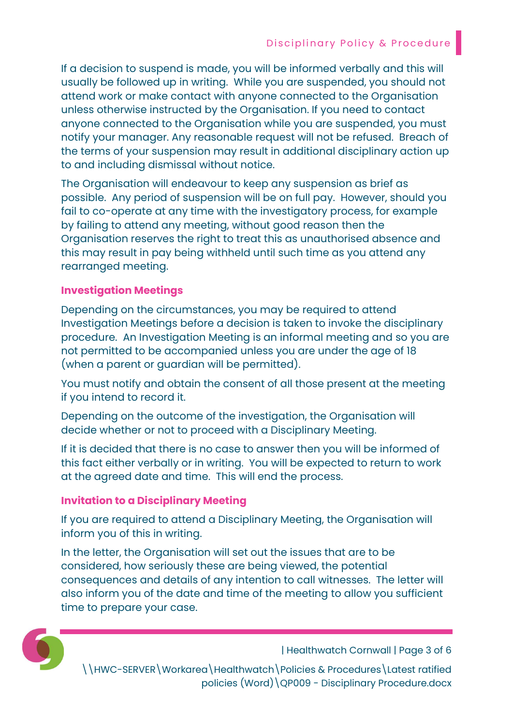If a decision to suspend is made, you will be informed verbally and this will usually be followed up in writing. While you are suspended, you should not attend work or make contact with anyone connected to the Organisation unless otherwise instructed by the Organisation. If you need to contact anyone connected to the Organisation while you are suspended, you must notify your manager. Any reasonable request will not be refused. Breach of the terms of your suspension may result in additional disciplinary action up to and including dismissal without notice.

The Organisation will endeavour to keep any suspension as brief as possible. Any period of suspension will be on full pay. However, should you fail to co-operate at any time with the investigatory process, for example by failing to attend any meeting, without good reason then the Organisation reserves the right to treat this as unauthorised absence and this may result in pay being withheld until such time as you attend any rearranged meeting.

### Investigation Meetings

Depending on the circumstances, you may be required to attend Investigation Meetings before a decision is taken to invoke the disciplinary procedure. An Investigation Meeting is an informal meeting and so you are not permitted to be accompanied unless you are under the age of 18 (when a parent or guardian will be permitted).

You must notify and obtain the consent of all those present at the meeting if you intend to record it.

Depending on the outcome of the investigation, the Organisation will decide whether or not to proceed with a Disciplinary Meeting.

If it is decided that there is no case to answer then you will be informed of this fact either verbally or in writing. You will be expected to return to work at the agreed date and time. This will end the process.

#### Invitation to a Disciplinary Meeting

If you are required to attend a Disciplinary Meeting, the Organisation will inform you of this in writing.

In the letter, the Organisation will set out the issues that are to be considered, how seriously these are being viewed, the potential consequences and details of any intention to call witnesses. The letter will also inform you of the date and time of the meeting to allow you sufficient time to prepare your case.



| Healthwatch Cornwall | Page 3 of 6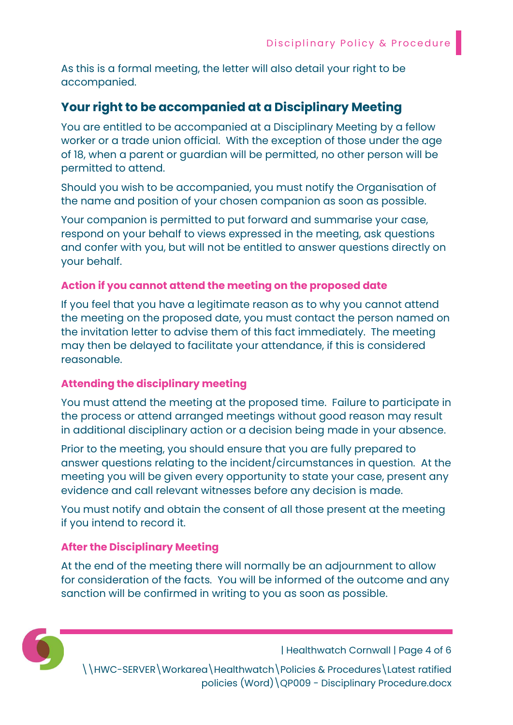As this is a formal meeting, the letter will also detail your right to be accompanied.

# Your right to be accompanied at a Disciplinary Meeting

You are entitled to be accompanied at a Disciplinary Meeting by a fellow worker or a trade union official. With the exception of those under the age of 18, when a parent or guardian will be permitted, no other person will be permitted to attend.

Should you wish to be accompanied, you must notify the Organisation of the name and position of your chosen companion as soon as possible.

Your companion is permitted to put forward and summarise your case, respond on your behalf to views expressed in the meeting, ask questions and confer with you, but will not be entitled to answer questions directly on your behalf.

### Action if you cannot attend the meeting on the proposed date

If you feel that you have a legitimate reason as to why you cannot attend the meeting on the proposed date, you must contact the person named on the invitation letter to advise them of this fact immediately. The meeting may then be delayed to facilitate your attendance, if this is considered reasonable.

## Attending the disciplinary meeting

You must attend the meeting at the proposed time. Failure to participate in the process or attend arranged meetings without good reason may result in additional disciplinary action or a decision being made in your absence.

Prior to the meeting, you should ensure that you are fully prepared to answer questions relating to the incident/circumstances in question. At the meeting you will be given every opportunity to state your case, present any evidence and call relevant witnesses before any decision is made.

You must notify and obtain the consent of all those present at the meeting if you intend to record it.

#### After the Disciplinary Meeting

At the end of the meeting there will normally be an adjournment to allow for consideration of the facts. You will be informed of the outcome and any sanction will be confirmed in writing to you as soon as possible.



| Healthwatch Cornwall | Page 4 of 6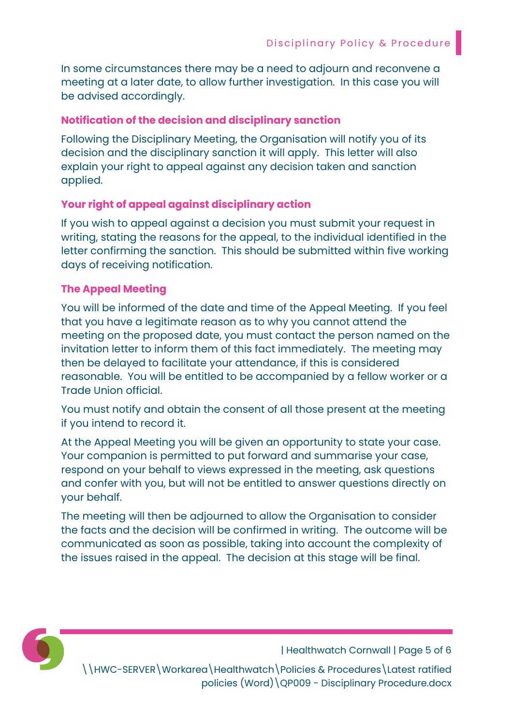In some circumstances there may be a need to adjourn and reconvene a meeting at a later date, to allow further investigation. In this case you will be advised accordingly.

#### Notification of the decision and disciplinary sanction

Following the Disciplinary Meeting, the Organisation will notify you of its decision and the disciplinary sanction it will apply. This letter will also explain your right to appeal against any decision taken and sanction applied.

## Your right of appeal against disciplinary action

If you wish to appeal against a decision you must submit your request in writing, stating the reasons for the appeal, to the individual identified in the letter confirming the sanction. This should be submitted within five working days of receiving notification.

### The Appeal Meeting

You will be informed of the date and time of the Appeal Meeting. If you feel that you have a legitimate reason as to why you cannot attend the meeting on the proposed date, you must contact the person named on the invitation letter to inform them of this fact immediately. The meeting may then be delayed to facilitate your attendance, if this is considered reasonable. You will be entitled to be accompanied by a fellow worker or a Trade Union official.

You must notify and obtain the consent of all those present at the meeting if you intend to record it.

At the Appeal Meeting you will be given an opportunity to state your case. Your companion is permitted to put forward and summarise your case, respond on your behalf to views expressed in the meeting, ask questions and confer with you, but will not be entitled to answer questions directly on your behalf.

The meeting will then be adjourned to allow the Organisation to consider the facts and the decision will be confirmed in writing. The outcome will be communicated as soon as possible, taking into account the complexity of the issues raised in the appeal. The decision at this stage will be final.



| Healthwatch Cornwall | Page 5 of 6